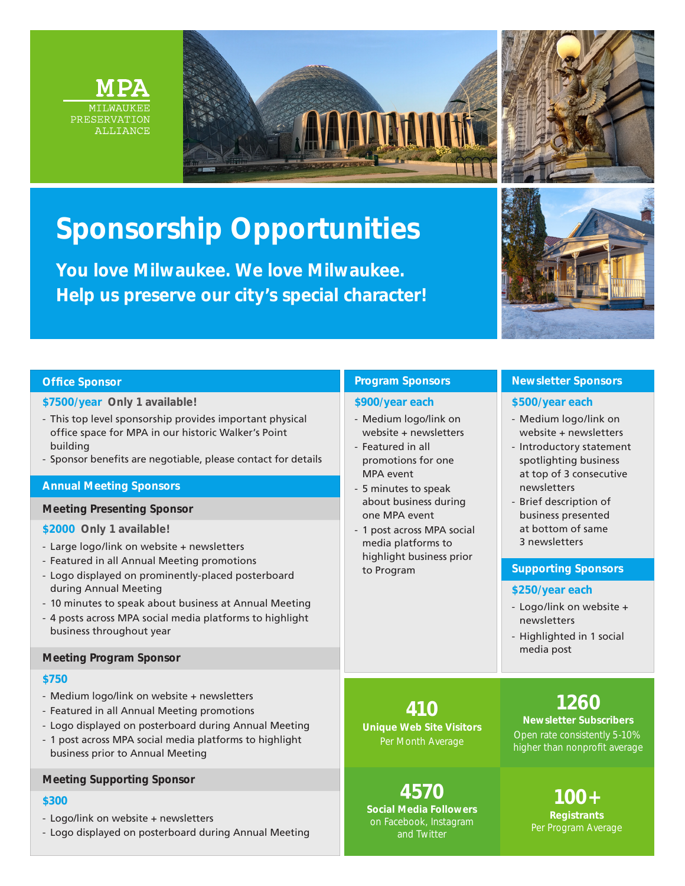





## **Sponsorship Opportunities**

**You love Milwaukee. We love Milwaukee. Help us preserve our city's special character!**



## **Office Sponsor**

## **\$7500/year Only 1 available!**

- This top level sponsorship provides important physical office space for MPA in our historic Walker's Point building
- Sponsor benefits are negotiable, please contact for details

## **Annual Meeting Sponsors**

### **Meeting Presenting Sponsor**

## **\$2000 Only 1 available!**

- Large logo/link on website + newsletters
- Featured in all Annual Meeting promotions
- Logo displayed on prominently-placed posterboard during Annual Meeting
- 10 minutes to speak about business at Annual Meeting
- 4 posts across MPA social media platforms to highlight business throughout year

### **Meeting Program Sponsor**

## **\$750**

- Medium logo/link on website + newsletters
- Featured in all Annual Meeting promotions
- Logo displayed on posterboard during Annual Meeting
- 1 post across MPA social media platforms to highlight business prior to Annual Meeting

## **Meeting Supporting Sponsor**

## **\$300**

- Logo/link on website + newsletters
- Logo displayed on posterboard during Annual Meeting

## **Program Sponsors**

## **\$900/year each**

- Medium logo/link on website + newsletters
- Featured in all promotions for one MPA event
- 5 minutes to speak about business during one MPA event
- 1 post across MPA social media platforms to highlight business prior to Program

**4570 Social Media Followers**  on Facebook, Instagram

**410 Unique Web Site Visitors** Per Month Average

## **Newsletter Sponsors**

## **\$500/year each**

- Medium logo/link on website + newsletters
- Introductory statement spotlighting business at top of 3 consecutive newsletters
- Brief description of business presented at bottom of same 3 newsletters

## **Supporting Sponsors**

## **\$250/year each**

- Logo/link on website + newsletters
- Highlighted in 1 social media post

## **1260**

## **Newsletter Subscribers** Open rate consistently 5-10% higher than nonprofit average

**100+ Registrants**  Per Program Average